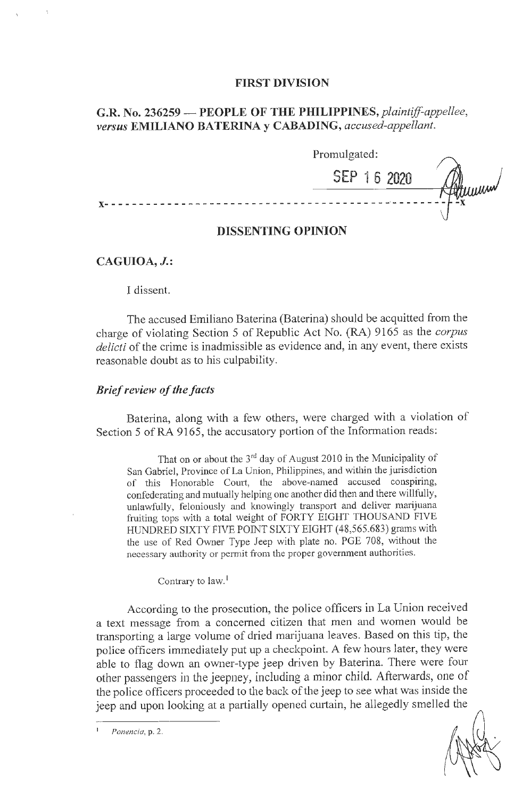#### **FIRST DIVISION**

# **G.R. No. 236259 - PEOPLE OF THE** *PHILIPPINES,plaintiff-appellee, versus* **EMILIANO BATERINA y CABADING,** *accused-appellant.*

|                   | Promulgated: |            |
|-------------------|--------------|------------|
|                   | SEP 16 2020  | ľМ4,<br>Mw |
|                   |              | ÷х         |
| <b>**********</b> |              |            |

#### **DISSENTING OPINION**

### **CAGUIOA, J.:**

#### I dissent.

The accused Emiliano Baterina (Baterina) should be acquitted from the charge of violating Section 5 of Republic Act No. (RA) 9165 as the *corpus delicti* of the crime is inadmissible as evidence and, in any event, there exists reasonable doubt as to his culpability.

## *Brief review of the facts*

Baterina, along with a few others, were charged with a violation of Section 5 of RA 9165, the accusatory portion of the Information reads:

That on or about the  $3<sup>rd</sup>$  day of August 2010 in the Municipality of San Gabriel, Province of La Union, Philippines, and within the jurisdiction of this Honorable Court, the above-named accused conspiring, confederating and mutually helping one another did then and there willfully, unlawfully, feloniously and knowingly transport and deliver marijuana fruiting tops with a total weight of FORTY EIGHT THOUSAND FIVE HUNDRED SIXTY FIVE POINT SIXTY EIGHT (48,565.683) grams with the use of Red Owner Type Jeep with plate no. PGE 708, without the necessary authority or permit from the proper government authorities.

Contrary to law.<sup>1</sup>

According to the prosecution, the police officers in La Union received a text message from a concerned citizen that men and women would be transporting a large volume of dried marijuana leaves. Based on this tip, the police officers immediately put up a checkpoint. A few hours later, they were able to flag down an owner-type jeep driven by Baterina. There were four other passengers in the jeepney, including a minor child. Afterwards, one of the police officers proceeded to the back of the jeep to see what was inside the jeep and upon looking at a partially opened curtain, he allegedly smelled the

*Ponencia,* p. 2.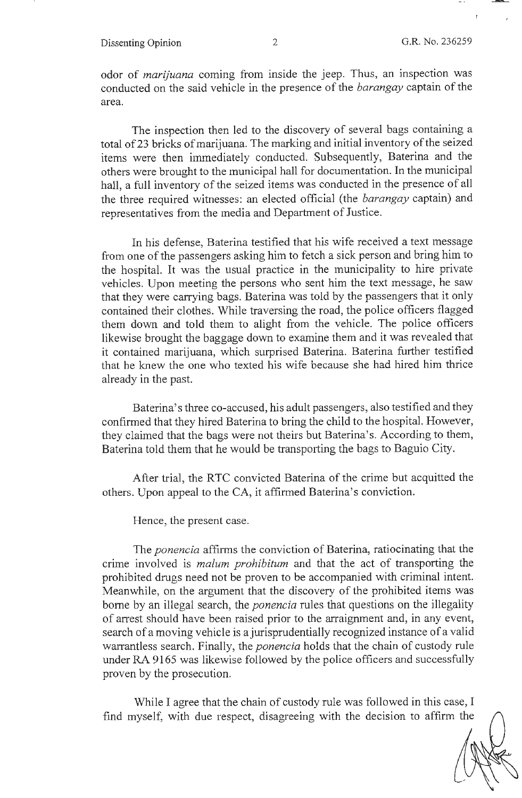Dissenting Opinion 2 G.R. No. 236259

odor of *marijuana* coming from inside the jeep. Thus, an inspection was conducted on the said vehicle in the presence of the *barangay* captain of the area.

The inspection then led to the discovery of several bags containing a total of23 bricks of marijuana. The marking and initial inventory of the seized items were then immediately conducted. Subsequently, Baterina and the others were brought to the municipal hall for documentation. In the municipal hall, a full inventory of the seized items was conducted in the presence of all the three required witnesses: an elected official (the *barangay* captain) and representatives from the media and Department of Justice.

In his defense, Baterina testified that his wife received a text message from one of the passengers asking him to fetch a sick person and bring him to the hospital. It was the usual practice in the municipality to hire private vehicles. Upon meeting the persons who sent him the text message, he saw that they were carrying bags. Baterina was told by the passengers that it only contained their clothes. While traversing the road, the police officers flagged them down and told them to alight from the vehicle. The police officers likewise brought the baggage down to examine them and it was revealed that it contained marijuana, which surprised Baterina. Baterina further testified that he knew the one who texted his wife because she had hired him thrice already in the past.

Baterina' s three co-accused, his adult passengers, also testified and they confirmed that they hired Baterina to bring the child to the hospital. However, they claimed that the bags were not theirs but Baterina's. According to them, Baterina told them that he would be transporting the bags to Baguio City.

After trial, the RTC convicted Baterina of the crime but acquitted the others. Upon appeal to the CA, it affirmed Baterina's conviction.

Hence, the present case.

The *ponencia* affirms the conviction of Baterina, ratiocinating that the crime involved is *malum prohibitum* and that the act of transporting the prohibited drugs need not be proven to be accompanied with criminal intent. Meanwhile, on the argument that the discovery of the prohibited items was borne by an illegal search, the *ponencia* rules that questions on the illegality of arrest should have been raised prior to the arraignment and, in any event, search of a moving vehicle is a jurisprudentially recognized instance of a valid warrantless search. Finally, the *ponencia* holds that the chain of custody rule under RA 9165 was likewise followed by the police officers and successfully proven by the prosecution.

While I agree that the chain of custody rule was followed in this case, I find myself, with due respect, disagreeing with the decision to affirm the

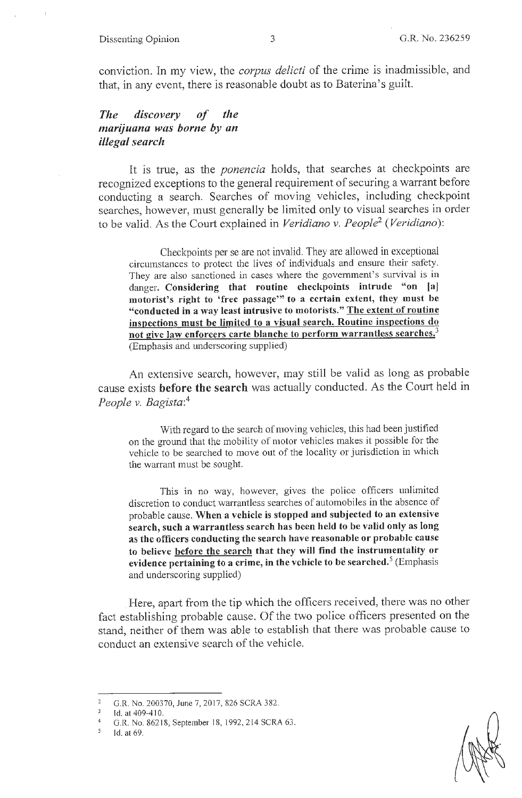conviction. In my view, the *corpus delicti* of the crime is inadmissible, and that, in any event, there is reasonable doubt as to Baterina's guilt.

## *The discovery of the marijuana was borne by an illegal search*

It is true, as the *ponencia* holds, that searches at checkpoints are recognized exceptions to the general requirement of securing a warrant before conducting a search. Searches of moving vehicles, including checkpoint searches, however, must generally be limited only to visual searches in order to be valid. As the Court explained in *Veridiano v. People2 (Veridiano):* 

Checkpoints per se are not invalid. They are allowed in exceptional circmnstances to protect the lives of individuals and ensure their safety. They are also sanctioned in cases where the govermnent's survival is in danger. **Considering that routine checkpoints intrude "on [aj motorist's right to 'free passage"' to a certain extent, they must be "conducted in a way least intrusive to motorists." The extent of routine inspections must be limited to a visual search. Routine inspections do not give law enforcers carte blanche to perform warrantless searches.<sup>3</sup>** (Emphasis and underscoring supplied)

An extensive search, however, may still be valid as long as probable cause exists **before the search** was actually conducted. As the Court held in *People v. Bagista:*<sup>4</sup>

With regard to the search of moving vehicles, this had been justified on the ground that the mobility of motor vehicles makes it possible for the vehicle to be searched to move out of the locality or jurisdiction in which the warrant must be sought.

This in no way, however, gives the police officers unlimited discretion to conduct warrantless searches of automobiles in the absence of probable cause. **When a vehicle is stopped and subjected to an extensive search, such a warrantless search has been held to be valid only as long as the officers conducting the search have reasonable or probable cause to believe before the search that they will find the instrumentality or evidence pertaining to a crime, in the vehicle to be searched.** 5 (Emphasis and underscoring supplied)

Here, apart from the tip which the officers received, there was no other fact establishing probable cause. Of the two police officers presented on the stand, neither of them was able to establish that there was probable cause to conduct an extensive search of the vehicle.

G.R. No. 200370, June 7, 2017, 826 SCRA 382.

 $\overline{3}$ Id. at 409-410.

G.R. No. 86218, September 18, 1992, 2 14 SCRA 63.

 $\mathfrak{s}$ Id. at 69.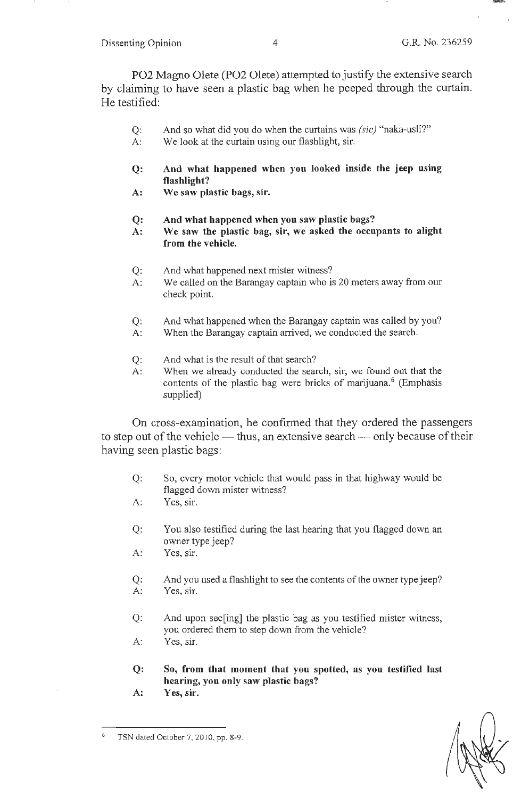P02 Magno Olete (P02 Olete) attempted to justify the extensive search by claiming to have seen a plastic bag when he peeped through the curtain. He testified:

- Q: And so what did you do when the curtains was *(sic)* "naka-usli?"
- A: We look at the curtain using our flashlight, sir.
- **Q: And what happened when you looked inside the jeep using flashlight?**
- **A: We saw plastic bags, sir.**
- **Q: And what happened when you saw plastic bags?**
- **A: We saw the plastic bag, sir, we asked the occupants to alight from the vehicle.**
- Q: And what happened next mister witness?
- A: We called on the Barangay captain who is 20 meters away from our check point.
- Q: And what happened when the Barangay captain was called by you?
- A: When the Barangay captain arrived, we conducted the search.
- Q: And what is the result of that search?
- A: When we already conducted the search, sir, we found out that the contents of the plastic bag were bricks of marijuana.<sup>6</sup> (Emphasis supplied)

On cross-examination, he confirmed that they ordered the passengers to step out of the vehicle  $-$  thus, an extensive search  $-$  only because of their having seen plastic bags:

- Q: So, every motor vehicle that would pass in that highway would be flagged down mister witness?
- A: Yes, sir.
- Q: You also testified during the last hearing that you flagged down an owner type jeep?
- A: Yes, sir.
- Q: And you used a flashlight to see the contents of the owner type jeep? A: Yes, sir.
- Q: And upon see[ing] the plastic bag as you testified mister witness, you ordered them to step down from the vehicle?
- A: Yes, sir.
- **Q: So, from that moment that you spotted, as you testified last hearing, you only saw plastic bags?**
- **A: Yes, sir.**



<sup>6</sup>  TSN dated October 7, 2010, pp. 8-9.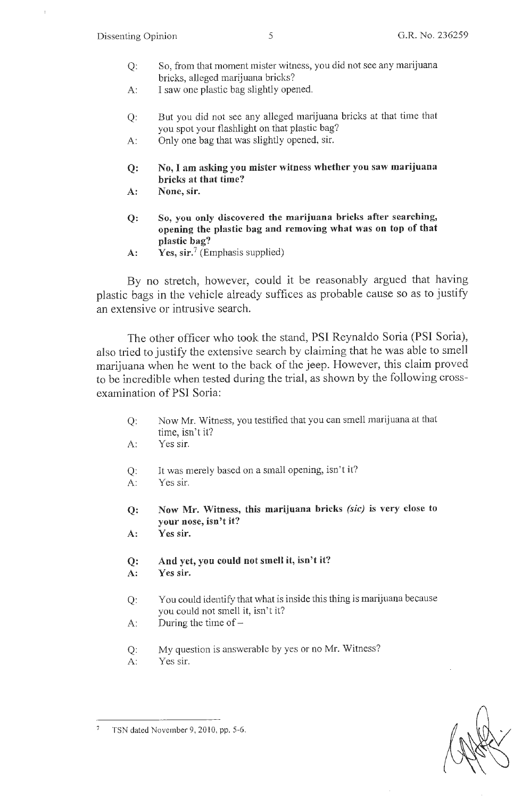- Q: So, from that moment mister witness, you did not see any marijuana bricks, alleged marijuana bricks?
- A: I saw one plastic bag slightly opened.
- Q: But you did not see any alleged marijuana bricks at that time that you spot your flashlight on that plastic bag?
- A: Only one bag that was slightly opened, sir.
- **Q: No,** I **am asking you mister witness whether you saw marijuana bricks at that time?**
- **A: None, sir.**
- **Q: So, you only discovered the marijuana bricks after searching, opening the plastic bag and removing what was on top of that plastic bag?**
- A: **Yes, sir.**<sup>7</sup> (Emphasis supplied)

By no stretch, however, could it be reasonably argued that having plastic bags in the vehicle already suffices as probable cause so as to justify an extensive or intrusive search.

The other officer who took the stand, PSI Reynaldo Soria (PSI Soria), also tried to justify the extensive search by claiming that he was able to smell marijuana when he went to the back of the jeep. However, this claim proved to be incredible when tested during the trial, as shown by the following crossexamination of PSI Soria:

- Q: Now Mr. Witness, you testified that you can smell marijuana at that time, isn't it?
- A: Yes sir.
- Q: It was merely based on a small opening, isn't it?
- A: Yes sir.

**Q: Now Mr. Witness, this marijuana bricks** *(sic)* **is very close to your nose, isn't it?** 

- **A: Yes sir.**
- **Q: And yet, you could not smell it, isn't it? A: Yes sir.**
- Q: You could identify that what is inside this thing is marijuana because you could not smell it, isn't it?
- A: During the time of  $-$
- Q: My question is answerable by yes or no Mr. Witness?
- A: Yes sir.

TSN dated November 9, 2010, pp. 5-6.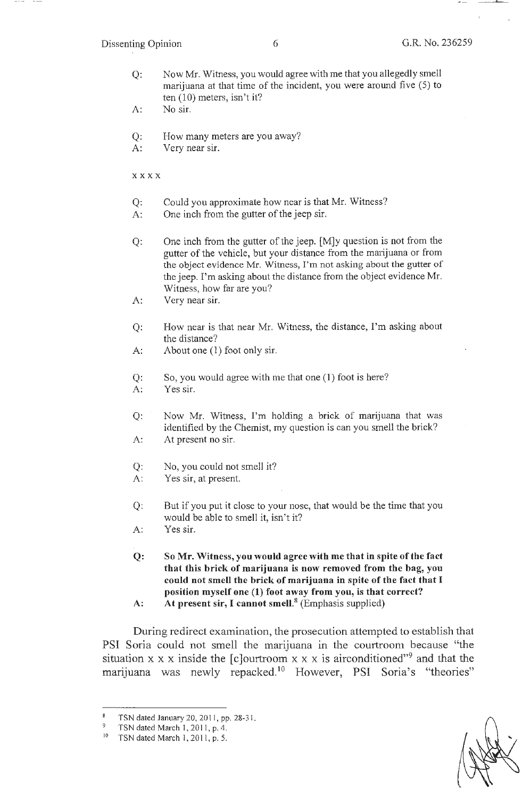**Section** 

- Q: Now Mr. Witness, you would agree with me that you allegedly smell marijuana at that time of the incident, you were around five (5) to ten (10) meters, isn't it?
- A: No sir.
- Q: How many meters are you away?
- A: Very near sir.

xxxx

- Q: Could you approximate how near is that Mr. Witness?
- A: One inch from the gutter of the jeep sir.
- Q: One inch from the gutter of the jeep. [M]y question is not from the gutter of the vehicle, but your distance from the marijuana or from the object evidence Mr. Witness, I'm not asking about the gutter of the jeep. I'm asking about the distance from the object evidence Mr. Witness, how far are you?
- A: Very near sir.
- Q: How near is that near Mr. Witness, the distance, I'm asking about the distance?
- A: About one (1) foot only sir.
- Q: So, you would agree with me that one (1) foot is here?
- A: Yes sir.
- Q: Now Mr. Witness, I'm holding a brick of marijuana that was identified by the Chemist, my question is can you smell the brick? A: At present no sir.
- 
- Q: No, you could not smell it?
- A: Yes sir, at present.
- Q: But if you put it close to your nose, that would be the time that you would be able to smell it, isn't it?
- A: Yes sir.
- **Q: So Mr. Witness, you would agree with me that in spite of the fact that this brick of marijuana is now removed from the bag, you could not smell the brick of marijuana in spite of the fact that** I **position myself one (1) foot away from you, is that correct?**
- **A: At present sir,** I **cannot smell. <sup>8</sup>**(Emphasis supplied)

During redirect examination, the prosecution attempted to establish that PSI Soria could not smell the marijuana in the courtroom because "the situation x x x inside the [c]ourtroom x x x is airconditioned<sup>"9</sup> and that the marijuana was newly repacked.<sup>10</sup> However, PSI Soria's "theories"

TSN dated January 20, 2011, pp. 28-31.

<sup>&</sup>lt;sup>9</sup> TSN dated March 1, 2011, p. 4.

<sup>&</sup>lt;sup>10</sup> TSN dated March 1, 2011, p. 5.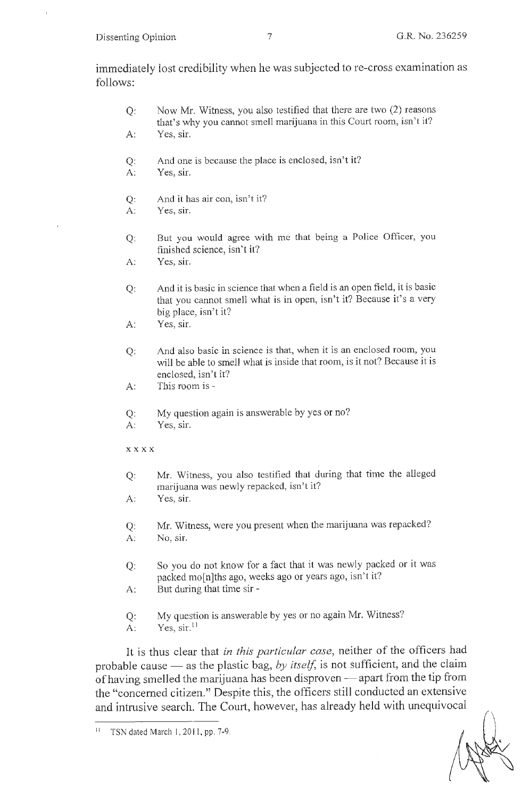immediately lost credibility when he was subjected to re-cross examination as follows:

- Q: Now Mr. Witness, you also testified that there are two (2) reasons that's why you cannot smell marijuana in this Court room, isn't it? A: Yes, sir.
- Q: And one is because the place is enclosed, isn't it?
- A: Yes, sir.
- Q: And it has air con, isn't it?
- A: Yes, sir.
- Q: But you would agree with me that being a Police Officer, you finished science, isn't it?
- A: Yes, sir.
- Q: And it is basic in science that when a field is an open field, it is basic that you cannot smell what is in open, isn't it? Because it's a very big place, isn't it?
- A: Yes, sir.
- Q: And also basic in science is that, when it is an enclosed room, you will be able to smell what is inside that room, is it not? Because it is enclosed, isn't it?
- A: This room is -
- Q: My question again is answerable by yes or no?
- A: Yes, sir.
- **xxxx**
- Q: Mr. Witness, you also testified that during that time the alleged marijuana was newly repacked, isn't it?
- A: Yes, sir.
- Q: Mr. Witness, were you present when the marijuana was repacked? A: No, sir.
- Q: So you do not know for a fact that it was newly packed or it was packed mo[n]ths ago, weeks ago or years ago, isn't it?
- A: But during that time sir -
- Q: My question is answerable by yes or no again Mr. Witness?
- A:  $Yes, sir.<sup>11</sup>$

It is thus clear that *in this particular case,* neither of the officers had probable cause - as the plastic bag, by itself, is not sufficient, and the claim of having smelled the marijuana has been disproven - apart from the tip from the "concerned citizen." Despite this, the officers still conducted an extensive and intrusive search. The Court, however, has already held with unequivocal

<sup>11</sup> TSN dated March I, 2011 , pp. 7-9.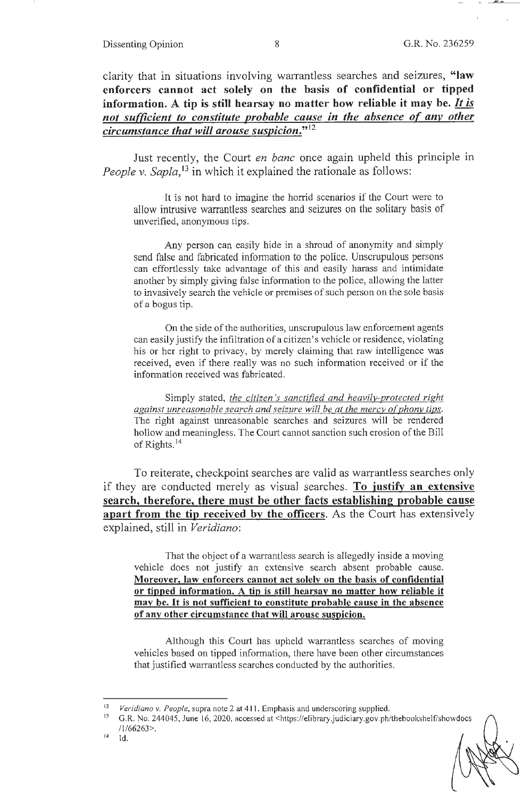clarity that in situations involving wanantless searches and seizures, **"law enforcers cannot act solely on the basis of confidential or tipped information. A tip is still hearsay no matter how reliable it may be.** *It is not sufficient to constitute probable cause in the absence of anv other circumstance that will arouse suspicion."* **<sup>12</sup>**

Just recently, the Court *en bane* once again upheld this principle m *People v. Sapla*,<sup>13</sup> in which it explained the rationale as follows:

It is not hard to imagine the horrid scenarios if the Court were to allow intrusive warrantless searches and seizures on the solitary basis of unverified, anonymous tips.

Any person can easily hide in a shroud of anonymity and simply send false and fabricated information to the police. Unscrupulous persons can effortlessly take advantage of this and easily harass and intimidate another by simply giving false information to the police, allowing the latter to invasively search the vehicle or premises of such person on the sole basis of a bogus tip.

On the side of the authorities, unscrupulous law enforcement agents can easily justify the infiltration of a citizen's vehicle or residence, violating his or her right to privacy, by merely claiming that raw intelligence was received, even if there really was no such information received or if the information received was fabricated.

Simply stated, *the citizen's sanctified and heavilv-protected right*  against unreasonable search and seizure will be at the mercy of phony tips. The right against unreasonable searches and seizures will be rendered hollow and meaningless. The Court cannot sanction such erosion of the Bill of Rights. <sup>14</sup>

To reiterate, checkpoint searches are valid as warrantless searches only if they are conducted merely as visual searches. **To iustify an extensive search, therefore, there must be other facts establishing probable cause apart from the tip received by the officers.** As the Court has extensively explained, still in *Veridiano:* 

That the object of a warrantless search is allegedly inside a moving vehicle does not justify an extensive search absent probable cause. **Moreover, law enforcers cannot act solely on the basis of confidential or tipped information. A tip is still hearsay no matter how reliable it may be. It is not sufficient to constitute probable cause in the absence of any other circumstance that will arouse suspicion.** 

Although this Court has upheld warrantless searches of moving vehicles based on tipped information, there have been other circumstances that justified warrantless searches conducted by the authorities.

<sup>&</sup>lt;sup>12</sup> *Veridiano v. People*, supra note 2 at 411. Emphasis and underscoring supplied.<br><sup>13</sup> C. R. No. 244045, June 16, 2020, accessed at chttps://elibrary.judiciary.gov.pb/

<sup>13</sup> G.R. No. 244045, June 16, 2020, accessed at <https://elibrary.judiciary.gov.ph/thebookshelf/showdocs /1 /66263>.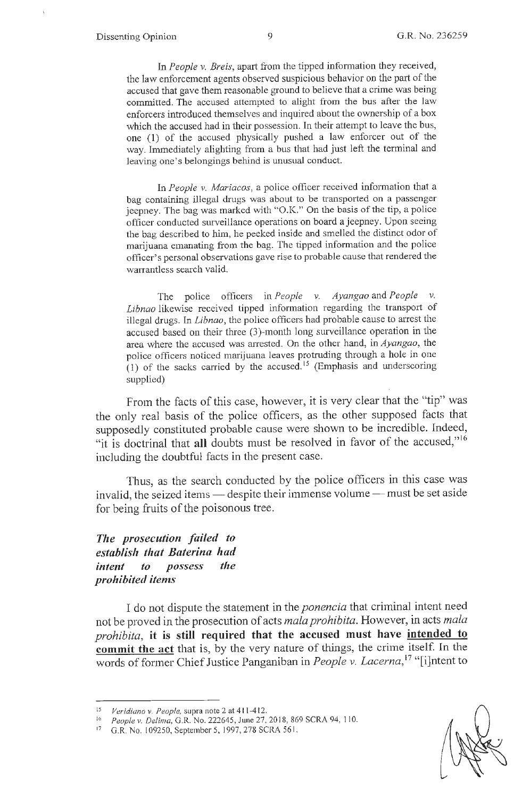In *People v. Breis,* apart from the tipped information they received, the law enforcement agents observed suspicious behavior on the part of the accused that gave them reasonable ground to believe that a crime was being committed. The accused attempted to alight from the bus after the law enforcers introduced themselves and inquired about the ownership of a box which the accused had in their possession. In their attempt to leave the bus, one (1) of the accused physically pushed a law enforcer out of the way. Immediately alighting from a bus that had just left the terminal and leaving one's belongings behind is unusual conduct.

In *People v. Mariacos*, a police officer received information that a bag containing illegal drugs was about to be transported on a passenger jeepney. The bag was marked with "O.K." On the basis of the tip, a police officer conducted surveillance operations on board a jeepney. Upon seeing the bag described to him, he peeked inside and smelled the distinct odor of marijuana emanating from the bag. The tipped information and the police officer's personal observations gave rise to probable cause that rendered the warrantless search valid.

The police officers in *People v. Ayangao* and *People v. Libnao* likewise received tipped information regarding the transport of illegal drugs. In *Libnao*, the police officers had probable cause to arrest the accused based on their three (3)-month long surveillance operation in the area where the accused was arrested. On the other hand, in *Ayangao,* the police officers noticed marijuana leaves protruding through a hole in one (1) of the sacks carried by the accused.<sup>15</sup> (Emphasis and underscoring supplied)

From the facts of this case, however, it is very clear that the "tip" was the only real basis of the police officers, as the other supposed facts that supposedly constituted probable cause were shown to be incredible. Indeed, "it is doctrinal that all doubts must be resolved in favor of the accused,"<sup>16</sup> including the doubtful facts in the present case.

Thus, as the search conducted by the police officers in this case was invalid, the seized items  $-$  despite their immense volume  $-$  must be set aside for being fruits of the poisonous tree.

*The prosecution failed to establish that Baterina had intent to possess the prohibited items* 

I do not dispute the statement in the *ponencia* that criminal intent need not be proved in the prosecution of acts *ma/a prohibita.* However, in acts *ma/a prohibita,* **it is still required that the accused must have intended to commit the act** that is, by the very nature of things, the crime itself. In the words of former Chief Justice Panganiban in *People v. Lacerna,*  17 "[i]ntent to

<sup>&</sup>lt;sup>15</sup> *Veridiano v. People, supra note 2 at 411-412.* 

<sup>16</sup>*People v. Delima,* G.R. No. 222645, June 27, 2018, 869 SCRA 94, 110.

<sup>17</sup> G.R. No. 109250, September 5, 1997, 278 SCRA 561.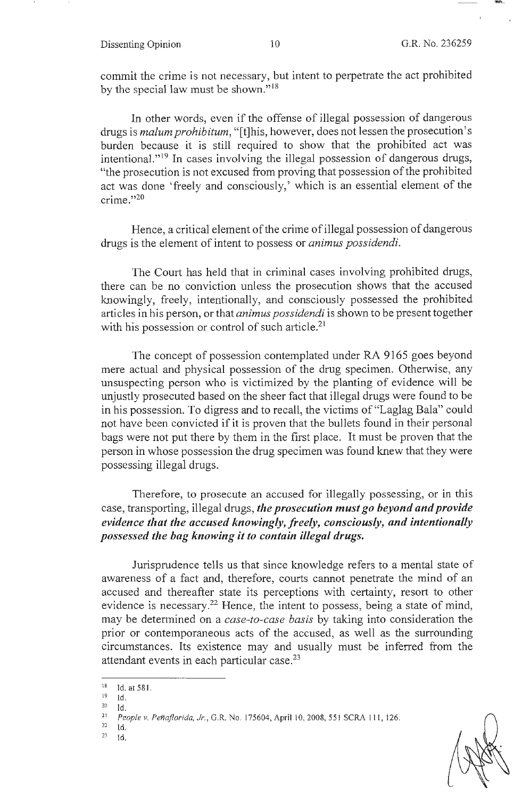commit the crime is not necessary, but intent to perpetrate the act prohibited by the special law must be shown."<sup>18</sup>

In other words, even if the offense of illegal possession of dangerous drugs is *malum prohibitum,* "[t]his, however, does not lessen the prosecution's burden because it is still required to show that the prohibited act was intentional."<sup>19</sup> In cases involving the illegal possession of dangerous drugs, "the prosecution is not excused from proving that possession of the prohibited act was done 'freely and consciously,' which is an essential element of the crime."20

Hence, a critical element of the crime of illegal possession of dangerous drugs is the element of intent to possess or *animus possidendi.* 

The Court has held that in criminal cases involving prohibited drugs, there can be no conviction unless the prosecution shows that the accused knowingly, freely, intentionally, and consciously possessed the prohibited articles in his person, or that *animus possidendi* is shown to be present together with his possession or control of such article.<sup>21</sup>

The concept of possession contemplated under RA 9165 goes beyond mere actual and physical possession of the drug specimen. Otherwise, any unsuspecting person who is victimized by the planting of evidence will be unjustly prosecuted based on the sheer fact that illegal drugs were found to be in his possession. To digress and to recall, the victims of "Laglag Bala" could not have been convicted if it is proven that the bullets found in their personal bags were not put there by them in the first place. It must be proven that the person.in whose possession the drug specimen was found knew that they were possessing illegal drugs.

Therefore, to prosecute an accused for illegally possessing, or in this case, transporting, illegal drugs, *the prosecution must go beyond and provide evidence that the accused knowingly, freely, consciously, and intentionally possessed the bag knowing it to contain illegal drugs.* 

Jurisprudence tells us that since knowledge refers to a mental state of awareness of a fact and, therefore, courts cannot penetrate the mind of an accused and thereafter state its perceptions with certainty, resort to other evidence is necessary.<sup>22</sup> Hence, the intent to possess, being a state of mind, may be determined on a *case-to-case basis* by taking into consideration the prior or contemporaneous acts of the accused, as well as the surrounding circumstances. Its existence may and usually must be inferred from the attendant events in each particular case.<sup>23</sup>

 $18$  Id. at 581.

 $19$  Id.

zo Id. 21 *Peopfev. Penaflorida, Jr. , G.R.* No. 175604, April 10,2008,551 SCRA 111 , 126. 22 Id.

 $23$  Id.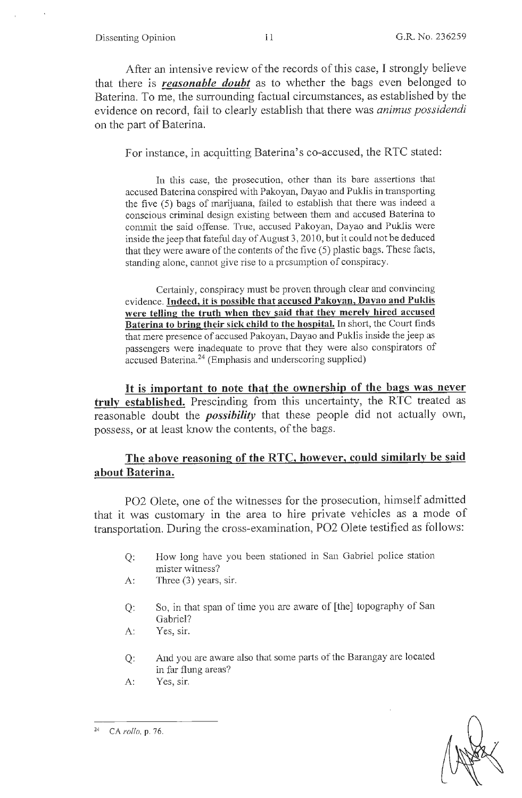After an intensive review of the records of this case, I strongly believe that there is *reasonable doubt* as to whether the bags even belonged to Baterina. To me, the surrounding factual circumstances, as established by the evidence on record, fail to clearly establish that there was *animus possidendi*  on the part of Baterina.

For instance, in acquitting Baterina's co-accused, the RTC stated:

In this case, the prosecution, other than its bare assertions that accused Baterina conspired with Pakoyan, Dayao and Puklis in transporting the five (5) bags of marijuana, failed to establish that there was indeed a conscious criminal design existing between them and accused Baterina to commit the said offense. True, accused Pakoyan, Dayao and Puklis were inside the jeep that fateful day of August 3,2010, but it could not be deduced that they were aware of the contents of the five (5) plastic bags. These facts, standing alone, cannot give rise to a preswnption of conspiracy.

Certainly, conspiracy must be proven through clear and convincing evidence. **Indeed, it is possible that accused Pakoyan, Dayao and Puklis were telling the truth when they said that they merely hired accused Baterina to bring their sick child to the hospital.** In short, the Court finds that mere presence of accused Pakoyan, Dayao and Puklis inside the jeep as passengers were inadequate to prove that they were also conspirators of accused Baterina.<sup>24</sup> (Emphasis and underscoring supplied)

It **is important to note that the ownership of the bags was never truly established.** Prescinding from this uncertainty, the RTC treated as reasonable doubt the *possibility* that these people did not actually own, possess, or at least know the contents, of the bags.

## **The above reasoning of the RTC, however, could similarly be said about Baterina.**

P02 Olete, one of the witnesses for the prosecution, himself admitted that it was customary in the area to hire private vehicles as a mode of transportation. During the cross-examination, PO2 Olete testified as follows:

- Q: How long have you been stationed in San Gabriel police station mister witness?
- A: Three (3) years, sir.
- Q: So, in that span of time you are aware of [the] topography of San Gabriel?
- A: Yes, sir.
- Q: And you are aware also that some parts of the Barangay are located in far flung areas?
- A: Yes, sir.



<sup>24</sup> CA *rollo,* p. 76.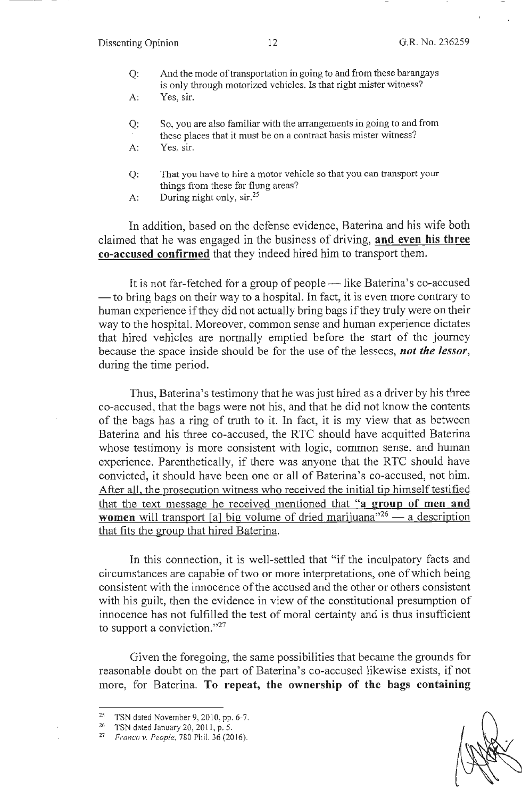- Q: And the mode of transportation in going to and from these barangays is only through motorized vehicles. Is that right mister witness?
- A: Yes, sir.
- Q: So, you are also familiar with the arrangements in going to and from these places that it must be on a contract basis mister witness?
- A: Yes, sir.
- Q: That you have to hire a motor vehicle so that you can transport your things from these far flung areas?
- A: During night only,  $\sin^{25}$

In addition, based on the defense evidence, Baterina and his wife both claimed that he was engaged in the business of driving, **and even his three co-accused confirmed** that they indeed hired him to transport them.

It is not far-fetched for a group of people - like Baterina's co-accused — to bring bags on their way to a hospital. In fact, it is even more contrary to human experience if they did not actually bring bags if they truly were on their way to the hospital. Moreover, common sense and human experience dictates that hired vehicles are normally emptied before the start of the journey because the space inside should be for the use of the lessees, *not the lessor,*  during the time period.

Thus, Baterina's testimony that he was just hired as a driver by his three co-accused, that the bags were not his, and that he did not know the contents of the bags has a ring of truth to it. In fact, it is my view that as between Baterina and his three co-accused, the RTC should have acquitted Baterina whose testimony is more consistent with logic, common sense, and human experience. Parenthetically, if there was anyone that the RTC should have convicted, it should have been one or all of Baterina's co-accused, not him. After all, the prosecution witness who received the initial tip himself testified that the text message he received mentioned that **"a group of men and women** will transport [a] big volume of dried marijuana<sup>"26</sup> - a description that fits the group that hired Baterina.

In this connection, it is well-settled that "if the inculpatory facts and circumstances are capable of two or more interpretations, one of which being consistent with the innocence of the accused and the other or others consistent with his guilt, then the evidence in view of the constitutional presumption of innocence has not fulfilled the test of moral certainty and is thus insufficient to support a conviction."<sup>27</sup>

Given the foregoing, the same possibilities that became the grounds for reasonable doubt on the part of Baterina's co-accused likewise exists, if not more, for Baterina. **To repeat, the ownership of the bags containing** 

<sup>&</sup>lt;sup>25</sup> TSN dated November 9, 2010, pp. 6-7.<br><sup>26</sup> TSN dated January 20, 2011, p. 5.

<sup>27</sup>*Franco v. People,* 780 Phil. 36(2016).